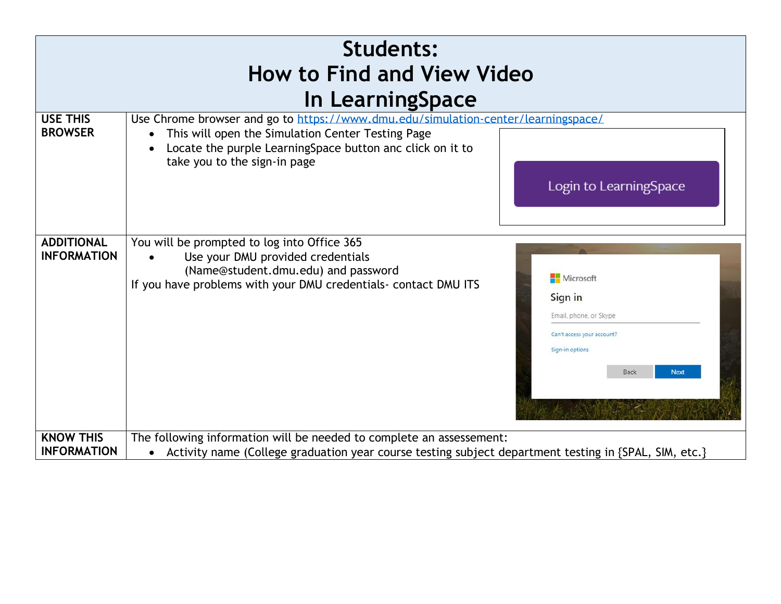| <b>Students:</b><br><b>How to Find and View Video</b> |                                                                                                                                                                                                                                                                                                                             |  |  |  |  |  |  |  |
|-------------------------------------------------------|-----------------------------------------------------------------------------------------------------------------------------------------------------------------------------------------------------------------------------------------------------------------------------------------------------------------------------|--|--|--|--|--|--|--|
| In LearningSpace                                      |                                                                                                                                                                                                                                                                                                                             |  |  |  |  |  |  |  |
| <b>USE THIS</b><br><b>BROWSER</b>                     | Use Chrome browser and go to https://www.dmu.edu/simulation-center/learningspace/<br>This will open the Simulation Center Testing Page<br>Locate the purple LearningSpace button anc click on it to<br>take you to the sign-in page<br>Login to LearningSpace                                                               |  |  |  |  |  |  |  |
| <b>ADDITIONAL</b><br><b>INFORMATION</b>               | You will be prompted to log into Office 365<br>Use your DMU provided credentials<br>(Name@student.dmu.edu) and password<br>Microsoft<br>If you have problems with your DMU credentials- contact DMU ITS<br>Sign in<br>Email, phone, or Skype<br>Can't access your account?<br>Sign-in options<br><b>Back</b><br><b>Next</b> |  |  |  |  |  |  |  |
| <b>KNOW THIS</b><br><b>INFORMATION</b>                | The following information will be needed to complete an assessement:<br>Activity name (College graduation year course testing subject department testing in {SPAL, SIM, etc.}<br>$\bullet$                                                                                                                                  |  |  |  |  |  |  |  |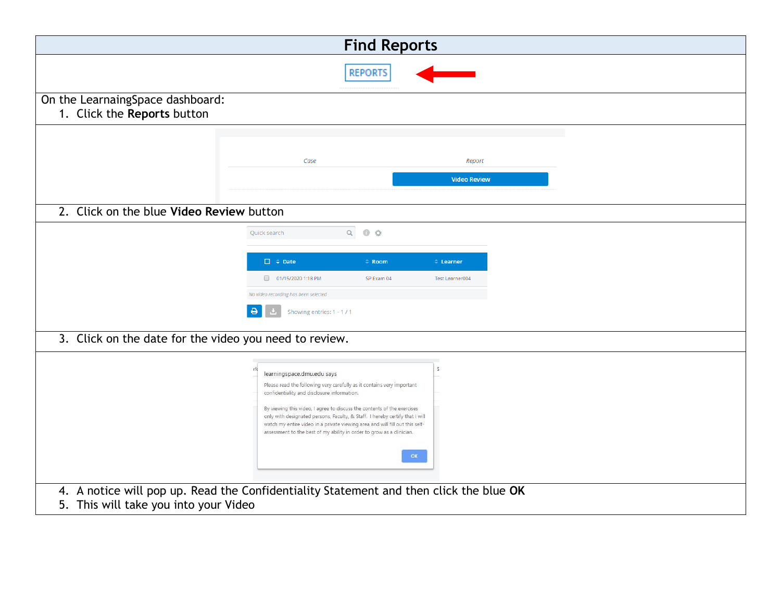|                                                                                                                                 | <b>Find Reports</b>                                                                                                                                                                                                                                                                                                                                                                                                                                                     |                     |                     |  |  |  |  |
|---------------------------------------------------------------------------------------------------------------------------------|-------------------------------------------------------------------------------------------------------------------------------------------------------------------------------------------------------------------------------------------------------------------------------------------------------------------------------------------------------------------------------------------------------------------------------------------------------------------------|---------------------|---------------------|--|--|--|--|
|                                                                                                                                 |                                                                                                                                                                                                                                                                                                                                                                                                                                                                         | <b>REPORTS</b>      |                     |  |  |  |  |
| On the LearnaingSpace dashboard:<br>1. Click the Reports button                                                                 |                                                                                                                                                                                                                                                                                                                                                                                                                                                                         |                     |                     |  |  |  |  |
|                                                                                                                                 | Case                                                                                                                                                                                                                                                                                                                                                                                                                                                                    |                     | Report              |  |  |  |  |
|                                                                                                                                 |                                                                                                                                                                                                                                                                                                                                                                                                                                                                         |                     | <b>Video Review</b> |  |  |  |  |
| 2. Click on the blue Video Review button                                                                                        |                                                                                                                                                                                                                                                                                                                                                                                                                                                                         |                     |                     |  |  |  |  |
|                                                                                                                                 | Quick search                                                                                                                                                                                                                                                                                                                                                                                                                                                            | $Q$ 0 $\frac{1}{2}$ |                     |  |  |  |  |
|                                                                                                                                 | $\Box \div$ Date                                                                                                                                                                                                                                                                                                                                                                                                                                                        | $\hat{=}$ Room      | $\hat{=}$ Learner   |  |  |  |  |
|                                                                                                                                 | 01/15/2020 1:18 PM<br>No video recording has been selected                                                                                                                                                                                                                                                                                                                                                                                                              | SP Exam 04          | Test Learner004     |  |  |  |  |
|                                                                                                                                 | Showing entries: 1 - 1 / 1                                                                                                                                                                                                                                                                                                                                                                                                                                              |                     |                     |  |  |  |  |
| 3. Click on the date for the video you need to review.                                                                          |                                                                                                                                                                                                                                                                                                                                                                                                                                                                         |                     |                     |  |  |  |  |
|                                                                                                                                 | learningspace.dmu.edu says<br>Please read the following very carefully as it contains very important<br>confidentiality and disclosure information.<br>By viewing this video, I agree to discuss the contents of the exercises<br>only with designated persons, Faculty, & Staff. I hereby certify that I will<br>watch my entire video in a private viewing area and will fill out this self-<br>assessment to the best of my ability in order to grow as a clinician. | OK                  |                     |  |  |  |  |
| 4. A notice will pop up. Read the Confidentiality Statement and then click the blue OK<br>5. This will take you into your Video |                                                                                                                                                                                                                                                                                                                                                                                                                                                                         |                     |                     |  |  |  |  |